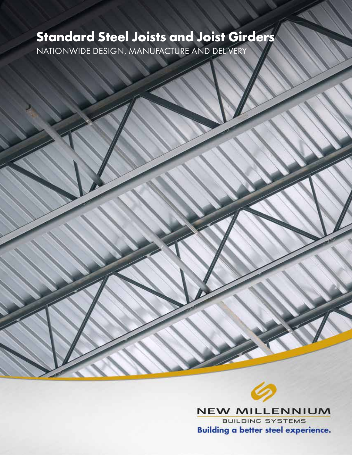# **Standard Steel Joists and Joist Girders**

NATIONWIDE DESIGN, MANUFACTURE AND DELIVERY

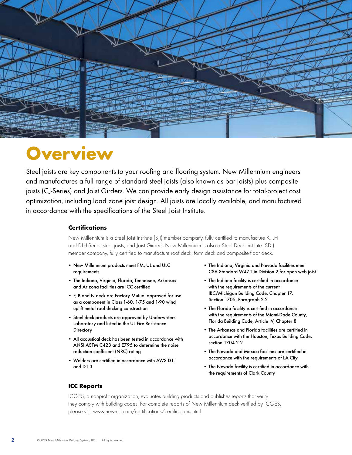

# **Overview**

Steel joists are key components to your roofing and flooring system. New Millennium engineers and manufactures a full range of standard steel joists (also known as bar joists) plus composite joists (CJ-Series) and Joist Girders. We can provide early design assistance for total-project cost optimization, including load zone joist design. All joists are locally available, and manufactured in accordance with the specifications of the Steel Joist Institute.

#### **Certifications**

New Millennium is a Steel Joist Institute (SJI) member company, fully certified to manufacture K, LH and DLH-Series steel joists, and Joist Girders. New Millennium is also a Steel Deck Institute (SDI) member company, fully certified to manufacture roof deck, form deck and composite floor deck.

- New Millennium products meet FM, UL and ULC requirements
- The Indiana, Virginia, Florida, Tennessee, Arkansas and Arizona facilities are ICC certified
- F, B and N deck are Factory Mutual approved for use as a component in Class 1-60, 1-75 and 1-90 wind uplift metal roof decking construction
- Steel deck products are approved by Underwriters Laboratory and listed in the UL Fire Resistance **Directory**
- All acoustical deck has been tested in accordance with ANSI ASTM C423 and E795 to determine the noise reduction coefficient (NRC) rating
- Welders are certified in accordance with AWS D1.1 and D1.3
- The Indiana, Virginia and Nevada facilities meet CSA Standard W47.1 in Division 2 for open web joist
- The Indiana facility is certified in accordance with the requirements of the current IBC/Michigan Building Code, Chapter 17, Section 1705, Paragraph 2.2
- The Florida facility is certified in accordance with the requirements of the Miami-Dade County, Florida Building Code, Article IV, Chapter 8
- The Arkansas and Florida facilities are certified in accordance with the Houston, Texas Building Code, section 1704.2.2
- The Nevada and Mexico facilities are certified in accordance with the requirements of LA City
- The Nevada facility is certified in accordance with the requirements of Clark County

# **ICC Reports**

ICC-ES, a nonprofit organization, evaluates building products and publishes reports that verify they comply with building codes. For complete reports of New Millennium deck verified by ICC-ES, please visit www.newmill.com/certifications/certifications.html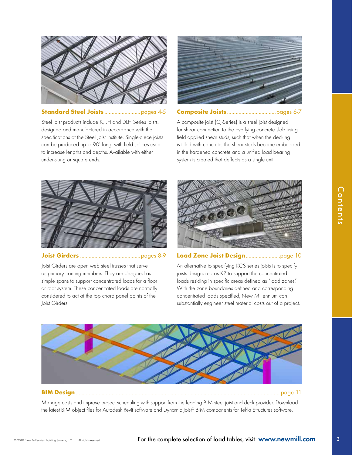

**Standard Steel Joists** .........................pages 4-5

Steel joist products include K, LH and DLH Series joists, designed and manufactured in accordance with the specifications of the Steel Joist Institute. Single-piece joists can be produced up to 90' long, with field splices used to increase lengths and depths. Available with either under-slung or square ends.



**Composite Joists** ..................................pages 6-7

A composite joist (CJ-Series) is a steel joist designed for shear connection to the overlying concrete slab using field applied shear studs, such that when the decking is filled with concrete, the shear studs become embedded in the hardened concrete and a unified load bearing system is created that deflects as a single unit.



#### **Joist Girders** ..........................................pages 8-9

Joist Girders are open web steel trusses that serve as primary framing members. They are designed as simple spans to support concentrated loads for a floor or roof system. These concentrated loads are normally considered to act at the top chord panel points of the Joist Girders.



#### **Load Zone Joist Design**........................page 10

An alternative to specifying KCS series joists is to specify joists designated as KZ to support the concentrated loads residing in specific areas defined as "load zones." With the zone boundaries defined and corresponding concentrated loads specified, New Millennium can substantially engineer steel material costs out of a project.



Manage costs and improve project scheduling with support from the leading BIM steel joist and deck provider. Download the latest BIM object files for Autodesk Revit software and Dynamic Joist® BIM components for Tekla Structures software.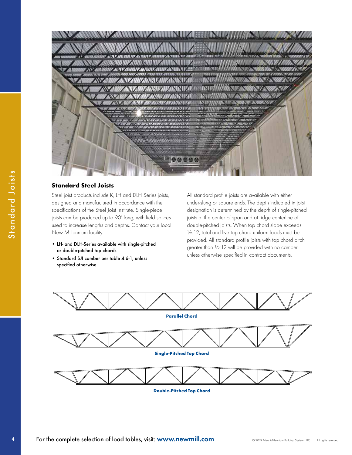

#### **Standard Steel Joists**

Steel joist products include K, LH and DLH Series joists, designed and manufactured in accordance with the specifications of the Steel Joist Institute. Single-piece joists can be produced up to 90' long, with field splices used to increase lengths and depths. Contact your local New Millennium facility.

- LH- and DLH-Series available with single-pitched or double-pitched top chords
- Standard SJI camber per table 4.6-1, unless specified otherwise

All standard profile joists are available with either under-slung or square ends. The depth indicated in joist designation is determined by the depth of single-pitched joists at the center of span and at ridge centerline of double-pitched joists. When top chord slope exceeds 1/2:12, total and live top chord uniform loads must be provided. All standard profile joists with top chord pitch greater than ½:12 will be provided with no camber unless otherwise specified in contract documents.





**Double-Pitched Top Chord**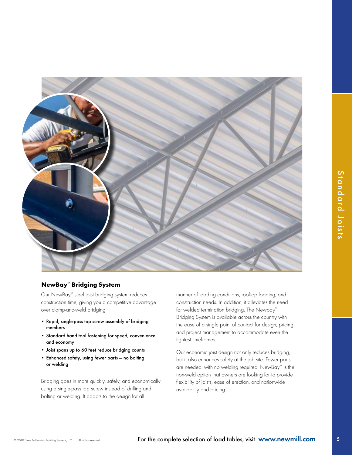



# **NewBay**™ **Bridging System**

Our NewBay™ steel joist bridging system reduces construction time, giving you a competitive advantage over clamp-and-weld bridging.

- Rapid, single-pass tap screw assembly of bridging members
- Standard hand tool fastening for speed, convenience and economy
- Joist spans up to 60 feet reduce bridging counts
- Enhanced safety, using fewer parts no bolting or welding

Bridging goes in more quickly, safely, and economically using a single-pass tap screw instead of drilling and bolting or welding. It adapts to the design for all

manner of loading conditions, rooftop loading, and construction needs. In addition, it alleviates the need for welded termination bridging. The Newbay™ Bridging System is available across the country with the ease of a single point of contact for design, pricing and project management to accommodate even the tightest timeframes.

Our economic joist design not only reduces bridging, but it also enhances safety at the job site. Fewer parts are needed, with no welding required. NewBay™ is the non-weld option that owners are looking for to provide flexibility of joists, ease of erection, and nationwide availability and pricing.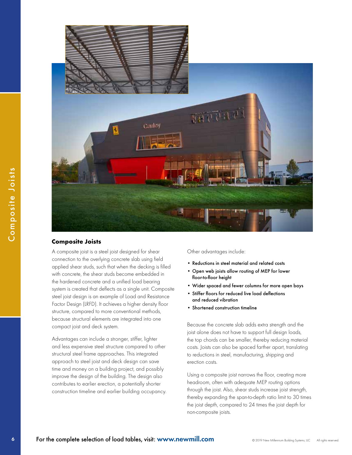

#### **Composite Joists**

A composite joist is a steel joist designed for shear connection to the overlying concrete slab using field applied shear studs, such that when the decking is filled with concrete, the shear studs become embedded in the hardened concrete and a unified load bearing system is created that deflects as a single unit. Composite steel joist design is an example of Load and Resistance Factor Design (LRFD). It achieves a higher density floor structure, compared to more conventional methods, because structural elements are integrated into one compact joist and deck system.

Advantages can include a stronger, stiffer, lighter and less expensive steel structure compared to other structural steel frame approaches. This integrated approach to steel joist and deck design can save time and money on a building project, and possibly improve the design of the building. The design also contributes to earlier erection, a potentially shorter construction timeline and earlier building occupancy.

#### Other advantages include:

- Reductions in steel material and related costs
- Open web joists allow routing of MEP for lower floor-to-floor height
- Wider spaced and fewer columns for more open bays
- Stiffer floors for reduced live load deflections and reduced vibration
- Shortened construction timeline

Because the concrete slab adds extra strength and the joist alone does not have to support full design loads, the top chords can be smaller, thereby reducing material costs. Joists can also be spaced farther apart, translating to reductions in steel, manufacturing, shipping and erection costs.

Using a composite joist narrows the floor, creating more headroom, often with adequate MEP routing options through the joist. Also, shear studs increase joist strength, thereby expanding the span-to-depth ratio limit to 30 times the joist depth, compared to 24 times the joist depth for non-composite joists.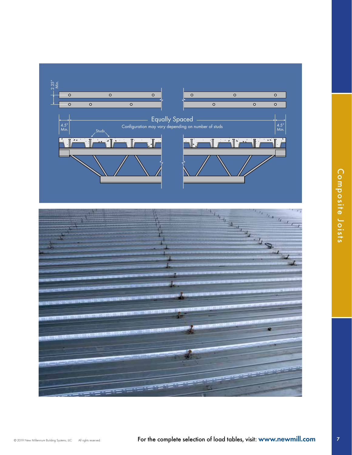

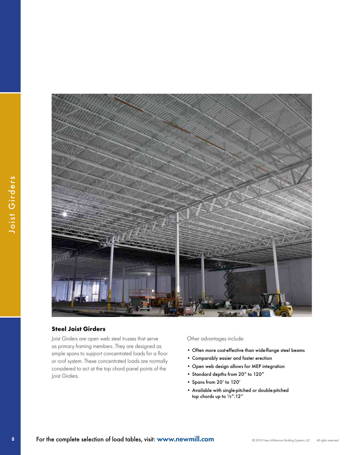

# **Steel Joist Girders**

Joist Girders are open web steel trusses that serve as primary framing members. They are designed as simple spans to support concentrated loads for a floor or roof system. These concentrated loads are normally considered to act at the top chord panel points of the Joist Girders.

Other advantages include:

- Often more cost-effective than wide-flange steel beams
- Comparably easier and faster erection
- Open web design allows for MEP integration
- Standard depths from 20" to 120"″
- Spans from 20' to 120'
- Available with single-pitched or double-pitched top chords up to  $\overline{12}$ ":12"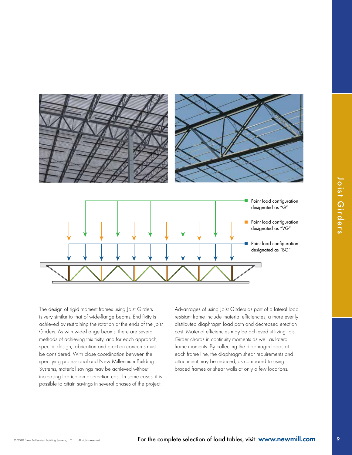

The design of rigid moment frames using Joist Girders is very similar to that of wide-flange beams. End fixity is achieved by restraining the rotation at the ends of the Joist Girders. As with wide-flange beams, there are several methods of achieving this fixity, and for each approach, specific design, fabrication and erection concerns must be considered. With close coordination between the specifying professional and New Millennium Building Systems, material savings may be achieved without increasing fabrication or erection cost. In some cases, it is possible to attain savings in several phases of the project.

Advantages of using Joist Girders as part of a lateral load resistant frame include material efficiencies, a more evenly distributed diaphragm load path and decreased erection cost. Material efficiencies may be achieved utilizing Joist Girder chords in continuity moments as well as lateral frame moments. By collecting the diaphragm loads at each frame line, the diaphragm shear requirements and attachment may be reduced, as compared to using braced frames or shear walls at only a few locations.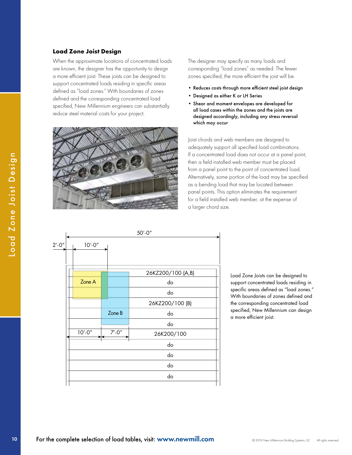#### **Load Zone Joist Design**

When the approximate locations of concentrated loads are known, the designer has the opportunity to design a more efficient joist. These joists can be designed to support concentrated loads residing in specific areas defined as "load zones." With boundaries of zones defined and the corresponding concentrated load specified, New Millennium engineers can substantially reduce steel material costs for your project.



The designer may specify as many loads and corresponding "load zones" as needed. The fewer zones specified, the more efficient the joist will be.

- Reduces costs through more efficient steel joist design
- Designed as either K or LH Series
- Shear and moment envelopes are developed for all load cases within the zones and the joists are designed accordingly, including any stress reversal which may occur

Joist chords and web members are designed to adequately support all specified load combinations. If a concentrated load does not occur at a panel point, then a field installed web member must be placed from a panel point to the point of concentrated load. Alternatively, some portion of the load may be specified as a bending load that may be located between panel points. This option eliminates the requirement for a field installed web member, at the expense of a larger chord size.

|            | $50' - 0''$ |                |                   |  |
|------------|-------------|----------------|-------------------|--|
| $2' - 0''$ | $10' - 0''$ |                |                   |  |
|            |             |                |                   |  |
|            |             |                | 26KZ200/100 (A,B) |  |
|            | Zone A      |                | do                |  |
|            |             |                | do                |  |
|            |             |                | 26KZ200/100 (B)   |  |
|            |             | Zone B         | do                |  |
|            |             |                | do                |  |
|            | $10' - 0''$ | $7' - 0''$     | 26K200/100        |  |
|            |             | do             |                   |  |
|            |             | do<br>do<br>do |                   |  |
|            |             |                |                   |  |
|            |             |                |                   |  |
|            |             |                |                   |  |

Load Zone Joists can be designed to support concentrated loads residing in specific areas defined as "load zones." With boundaries of zones defined and the corresponding concentrated load specified, New Millennium can design a more efficient joist.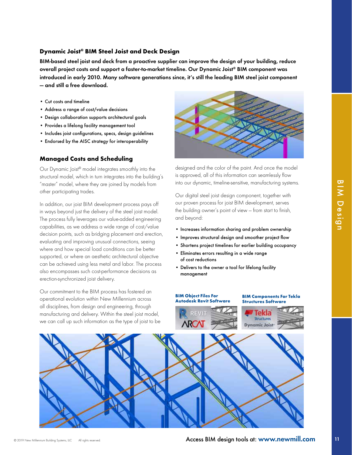#### **Dynamic Joist® BIM Steel Joist and Deck Design**

BIM-based steel joist and deck from a proactive supplier can improve the design of your building, reduce overall project costs and support a faster-to-market timeline. Our Dynamic Joist® BIM component was introduced in early 2010. Many software generations since, it's still the leading BIM steel joist component — and still a free download.

- Cut costs and timeline
- Address a range of cost/value decisions
- Design collaboration supports architectural goals
- Provides a lifelong facility management tool
- Includes joist configurations, specs, design guidelines
- Endorsed by the AISC strategy for interoperability

# **Managed Costs and Scheduling**

Our Dynamic Joist® model integrates smoothly into the structural model, which in turn integrates into the building's "master" model, where they are joined by models from other participating trades.

In addition, our joist BIM development process pays off in ways beyond just the delivery of the steel joist model. The process fully leverages our value-added engineering capabilities, as we address a wide range of cost/value decision points, such as bridging placement and erection, evaluating and improving unusual connections, seeing where and how special load conditions can be better supported, or where an aesthetic architectural objective can be achieved using less metal and labor. The process also encompasses such cost-performance decisions as erection-synchronized joist delivery.

Our commitment to the BIM process has fostered an



designed and the color of the paint. And once the model is approved, all of this information can seamlessly flow into our dynamic, timeline-sensitive, manufacturing systems.

Our digital steel joist design component, together with our proven process for joist BIM development, serves the building owner's point of view — from start to finish, and beyond:

- Increases information sharing and problem ownership
- Improves structural design and smoother project flow
- Shortens project timelines for earlier building occupancy
- Eliminates errors resulting in a wide range of cost reductions
- Delivers to the owner a tool for lifelong facility management